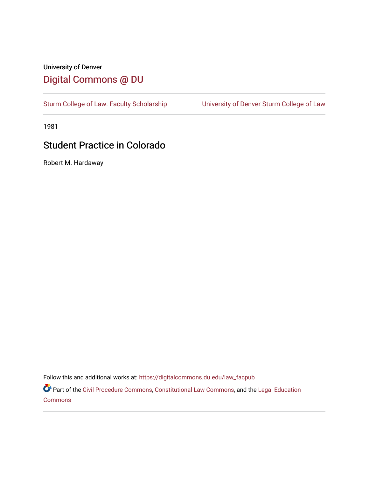## University of Denver [Digital Commons @ DU](https://digitalcommons.du.edu/)

[Sturm College of Law: Faculty Scholarship](https://digitalcommons.du.edu/law_facpub) [University of Denver Sturm College of Law](https://digitalcommons.du.edu/denver_law) 

1981

## Student Practice in Colorado

Robert M. Hardaway

Follow this and additional works at: [https://digitalcommons.du.edu/law\\_facpub](https://digitalcommons.du.edu/law_facpub?utm_source=digitalcommons.du.edu%2Flaw_facpub%2F298&utm_medium=PDF&utm_campaign=PDFCoverPages) 

Part of the [Civil Procedure Commons,](http://network.bepress.com/hgg/discipline/584?utm_source=digitalcommons.du.edu%2Flaw_facpub%2F298&utm_medium=PDF&utm_campaign=PDFCoverPages) [Constitutional Law Commons](http://network.bepress.com/hgg/discipline/589?utm_source=digitalcommons.du.edu%2Flaw_facpub%2F298&utm_medium=PDF&utm_campaign=PDFCoverPages), and the [Legal Education](http://network.bepress.com/hgg/discipline/857?utm_source=digitalcommons.du.edu%2Flaw_facpub%2F298&utm_medium=PDF&utm_campaign=PDFCoverPages)  [Commons](http://network.bepress.com/hgg/discipline/857?utm_source=digitalcommons.du.edu%2Flaw_facpub%2F298&utm_medium=PDF&utm_campaign=PDFCoverPages)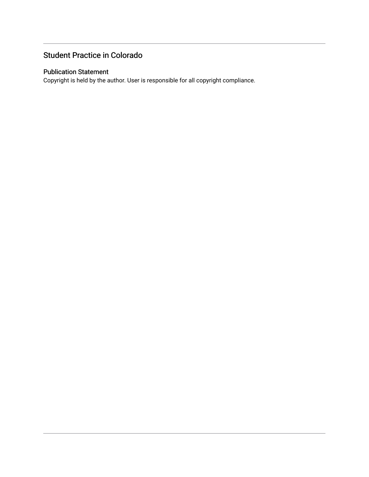## Student Practice in Colorado

### Publication Statement

Copyright is held by the author. User is responsible for all copyright compliance.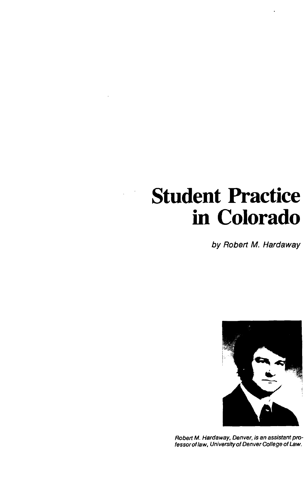## **Student Practice in Colorado**

**by** Robert M. Hardaway



Robert M. Hardaway, Denver, is an assistant professorof law, University of Denver College of Law.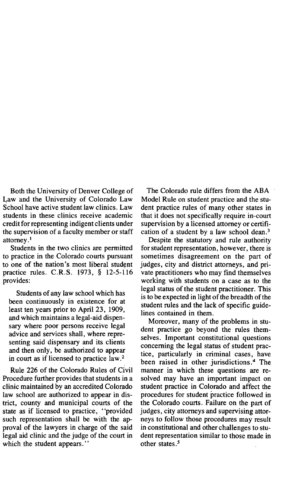Both the University of Denver College of Law and the University of Colorado Law School have active student law clinics. Law students in these clinics receive academic credit for representing indigent clients under the supervision of a faculty member or staff attorney.'

Students in the two clinics are permitted to practice in the Colorado courts pursuant to one of the nation's most liberal student practice rules. C.R.S. **1973, § 12-5-116** provides:

Students of any law school which has been continuously in existence for at least ten years prior to April **23, 1909,** and which maintains a legal-aid dispensary where poor persons receive legal advice and services shall, where representing said dispensary and its clients and then only, be authorized to appear in court as if licensed to practice law. <sup>2</sup>

Rule **226** of the Colorado Rules of Civil Procedure further provides that students in a clinic maintained **by** an accredited Colorado law school are authorized to appear in district, county and municipal courts of the state as if licensed to practice, "provided such representation shall be with the approval of the lawyers in charge of the said legal aid clinic and the judge of the court in which the student appears."

The Colorado rule differs from the **ABA** Model Rule on student practice and the student practice rules of many other states in that it does not specifically require in-court supervision **by** a licensed attorney or certification of a student **by** a law school dean.3

Despite the statutory and rule authority for student representation, however, there is sometimes disagreement on the part of judges, city and district attorneys, and private practitioners who may find themselves working with students on a case as to the legal status of the student practitioner. This is to be expected in light of the breadth of the student rules and the lack of specific guidelines contained in them.

Moreover, many of the problems in student practice go beyond the rules themselves. Important constitutional questions concerning the legal status of student practice, particularly in criminal cases, have been raised in other jurisdictions.<sup>4</sup> The manner in which these questions are resolved may have an important impact on student practice in Colorado and affect the procedures for student practice followed in the Colorado courts. Failure on the part of judges, city attorneys and supervising attorneys to follow those procedures may result in constitutional and other challenges to student representation similar to those made in other states *.*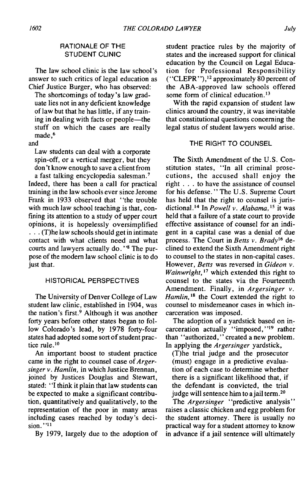#### RATIONALE OF THE **STUDENT CLINIC**

The law school clinic is the law school's answer to such critics of legal education as Chief Justice Burger, who has observed:

The shortcomings of today's law graduate lies not in any deficient knowledge of law but that he has little, if any training in dealing with facts or people-the stuff on which the cases are really made, <sup>6</sup>

and

Law students can deal with a corporate spin-off, or a vertical merger, but they **don't** know enough to save a client from a fast talking encyclopedia salesman. <sup>7</sup>

Indeed, there has been a call for practical training in the law schools ever since Jerome Frank in **1933** observed that "the trouble with much law school teaching is that, confining its attention to a study of upper court opinions, it is hopelessly oversimplified **. . .** (T)he law schools should get in intimate contact with what clients need and what courts and lawyers actually do. **"8** The purpose of the modem law school clinic is to do just that.

#### HISTORICAL PERSPECTIVES

The University of Denver College of Law student law clinic, established in 1904, was the nation's first.<sup>9</sup> Although it was another forty years before other states began to follow Colorado's lead, **by 1978** forty-four states had adopted some sort of student practice rule. $10$ 

An important boost to student practice came in the right to counsel case of *Argersinger v. Hamlin,* in which Justice Brennan, joined **by** Justices Douglas and Stewart, stated: **"I** think it plain that law students can be expected to make a significant contribution, quantitatively and qualitatively, to the representation of the poor in many areas including cases reached **by** today's decision. **"II**

**By 1979,** largely due to the adoption of

student practice rules **by** the majority of states and the increased support for clinical education **by** the Council on Legal Education for Professional Responsibility ("CLEPR"), 2 approximately **80** percent of the ABA-approved law schools offered some form of clinical education. $13$ 

With the rapid expansion of student law clinics around the country, it was inevitable that constitutional questions concerning the legal status of student lawyers would arise.

#### THE RIGHT TO **COUNSEL**

The Sixth Amendment of the **U.S.** Constitution states, "In all criminal prosecutions, the accused shall enjoy the right **. . .** to have the assistance of counsel for his defense. **"** The **U.S.** Supreme Court has held that the right to counsel is jurisdictional.<sup>14</sup> In *Powell v. Alabama*,<sup>15</sup> it was held that a failure of a state court to provide effective assistance of counsel for an indigent in a capital case was a denial of due process. The Court in *Betts v. Brady'6* declined to extend the Sixth Amendment right to counsel to the states in non-capital cases. However, *Betts* was reversed in *Gideon v. Wainwright,'"* which extended this right to counsel to the states via the Fourteenth Amendment. Finally, in *Argersinger v. Hamlin*, <sup>18</sup> the Court extended the right to counsel to misdemeanor cases in which incarceration was imposed.

The adoption of a yardstick based on incarceration actually "imposed, **"19** rather than "authorized, **"** created a new problem. In applying the *Argersinger yardstick,*

(T)he trial judge and the prosecutor (must) engage in a predictive evaluation of each case to determine whether there is a significant likelihood that, if the defendant is convicted, the trial judge will sentence him to a jail term.<sup>20</sup>

*The Argersinger* "predictive analysis" raises a classic chicken and egg problem for the student attorney. There is usually no practical way for a student attorney to know in advance if a jail sentence will ultimately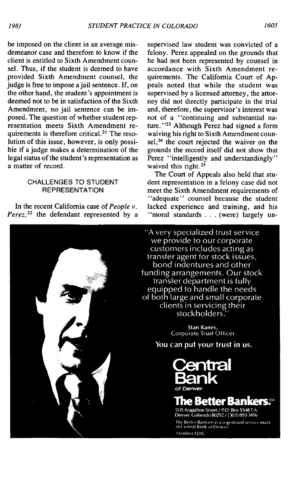be imposed on the client in an average misdemeanor case and therefore to know if the client is entitled to Sixth Amendment counsel. Thus, if the student is deemed to have provided Sixth Amendment counsel, the judge is free to impose a jail sentence. **If,** on the other hand, the student's appointment is deemed not to be in satisfaction of the Sixth Amendment, no jail sentence can be imposed. The question of whether student representation meets Sixth Amendment requirements is therefore critical.<sup>21</sup> The resolution of this issue, however, is only possible if a judge makes a determination of the legal status of the student's representation as a matter of record.

#### **CHALLENGES** TO **STUDENT** REPRESENTATION

In the recent California case of *People v. Perez,22* the defendant represented **by** a

supervised law student was convicted of a felony. Perez appealed on the grounds that he had not been represented **by** counsel in accordance with Sixth Amendment requirements. The California Court of **Ap**peals noted that while the student was supervised **by** a licensed attorney, the attorney did not directly participate in the trial and, therefore, the supervisor's interest was not of a "continuing and substantial nature. **"23** Although Perez had signed a form waiving his right to Sixth Amendment counsel, $^{24}$  the court rejected the waiver on the grounds the record itself did not show that Perez "intelligently and understandingly" waived this right.<sup>25</sup>

The Court of Appeals also held that student representation in a felony case did not meet the Sixth Amendment requirements of "adequate" counsel because the student lacked experience and training, and his "moral standards **. . .** (were) largely un-

"A very specialized trust service we provide to our corporate customers includes acting as transfer agent for stock issues, bond indentures and other funding arrangements. Our stock transfer department is fully equipped to handle the needs<br>of both large and small corporate clients in servicing their stockholders.

> Stan Raney, Corporate Trust Officer

You can put your trust in us.



## **e Better Bankers.<sup>ss</sup>**

1515 Arapahoe Street / P.O. Box 5548 T.A.<br>Denver, Colorado 80292 / (303) 893-3456

The Better Bankers is a registered service mark<br>of Central Bank of Denver. Member FDIC

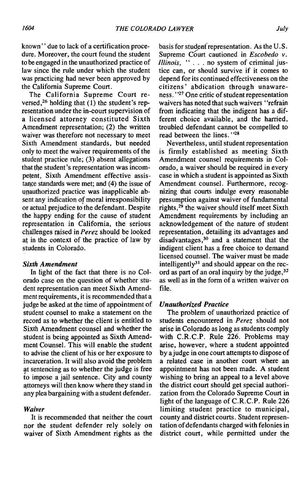known" due to lack of a certification procedure. Moreover, the court found the student to be engaged in the unauthorized practice of law since the rule under which the student was practicing had never been approved **by** the California Supreme Court.

The California Supreme Court reversed, 26 holding that **(1)** the student's representation under the in-court supervision of a licensed attorney constituted Sixth Amendment representation; (2) the written waiver was therefore not necessary to meet Sixth Amendment standards, but needed only to meet the waiver requirements of the student practice rule; **(3)** absent allegations that the student's representation was incompetent, Sixth Amendment effective assistance standards were met; and (4) the issue of unauthorized practice was inapplicable absent any indication of moral irresponsibility or actual prejudice to the defendant. Despite the happy ending for the cause of student representation in California, the serious challenges raised in *Perez* should be looked at in the context of the practice of law **by** students in Colorado.

#### *Sixth Amendment*

In light of the fact that there is no Colorado case on the question of whether student representation can meet Sixth Amendment requirements, it is recommended that a **jtudge** be asked at the time of appointment of student counsel to make a statement on the record as to whether the client is entitled to Sixth Amendment counsel and whether the student is being appointed as Sixth Amendment Counsel. This will enable the student to advise the client of his or her exposure to incarceration. It will also avoid the problem at sentencing as to whether the judge is free to impose a jail sentence. City and county attorneys will then know where they stand in any plea bargaining with a student defender.

#### *Waiver*

It is recommended that neither the court nor the student defender rely solely on waiver of Sixth Amendment rights as the

basis for studen(representation. As the **U.S.** Supreme Court cautioned in *Escobedo* v. *Illinois,* **" . . .** no system of criminal justice can, or should survive if it comes to depend for its continued effectiveness on the citizens' abdication through unawareness. **"27** One critic of student representation waivers has noted that such waivers "refrain from indicating that the indigent has a different choice available, and the harried, troubled defendant cannot be compelled to read between the lines."<sup>28</sup>

Nevertheless, until student representation is firmly established as meeting Sixth Amendment counsel requirements in Colorado, a waiver should be required in every case in which a student is appointed as Sixth Amendment counsel. Furthermore, recognizing that courts indulge every reasonable presumption against waiver of fundamental rights, $29$  the waiver should itself meet Sixth Amendment requirements **by** including an acknowledgement of the nature of student representation, detailing its advantages and disadvantages,30 and a statement that the indigent client has a free choice to demand licensed counsel. The waiver must be made intelligently $31$  and should appear on the record as part of an oral inquiry **by** the judge, <sup>32</sup> as well as in the form of a written waiver on file.

#### *Unauthorized Practice*

The problem of unauthorized practice of students encountered in *Perez* should not arise in Colorado as long as students comply with C.R.C.P. Rule **226.** Problems may arise, however, where a student appointed **by** a judge in one court attempts to dispose of a related case in another court where an appointment has not been made. **A** student wishing to bring an appeal to a level above the district court should get special authorization from the Colorado Supreme Court in light of the language of C.R.C.P. Rule **226** limiting student practice to municipal, county and district courts. Student representation of defendants charged with felonies in district court, while permitted under the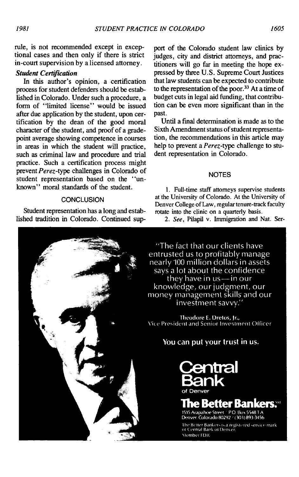rule, is not recommended except in exceptional cases and then only if there is strict in-court supervision **by** a licensed attorney.

#### *Student Certificadon*

In this author's opinion, a certification process for student defenders should be established in Colorado. Under such a procedure, a form of "limited license" would be issued after due application **by** the student, upon certification **by** the dean of the good moral character of the student, and proof of a gradepoint average showing competence in courses in areas in which the student will practice, such as criminal law and procedure and trial practice. Such a certification process might prevent *Perez-type* challenges in Colorado of student representation based on the "unknown" moral standards of the student.

#### **CONCLUSION**

Student representation has a long and established tradition in Colorado. Continued sup-

port of the Colorado student law clinics **by** judges, city and district attorneys, and practitioners will go far in meeting the hope expressed **by** three **U.S.** Supreme Court Justices that law students can be expected to contribute to the representation of the poor.<sup>33</sup> At a time of budget cuts in legal aid funding, that contribution can be even more significant than in the past.

Until a final determination is made as to the Sixth Amendment status of student representation, the recommendations in this article may help to prevent a *Perez-type* challenge to student representation in Colorado.

#### **NOTES**

**1.** Full-time staff attorneys supervise students at the University of Colorado. At the University of Denver College of Law, regular tenure-track faculty rotate into the clinic on a quarterly basis.

*2. See,* Pilapil v. Immigration and Nat. Ser-

"The fact that our clients have entrusted us to profitably manage nearly 100 million dollars in assets says a lot about the confidence they have in  $us$ —in our knowledge, our judgment, our money management skills and our investment savvy."

Theodore E. Dretos, Ir., Vice President and Senior Investment Officer

You can put your trust in us.



## e Better Ban

1515 Arapahoe Street. PO. Box 5548 T.A. Denver, Colorado 80292 / (303) 893-3456

The Better Bankers is a registered service mark<br>of Central Bank of Denver. Member FDIC

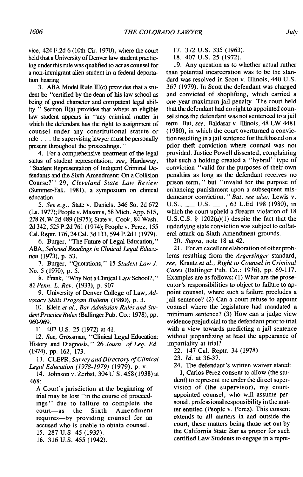#### vice, 424 **F.2d 6** (10th Cir. **1970),** where the court held that a University of Denver law student practicing under this rule was qualified to act as counsel for a non-immigrant alien student in a federal deportation hearing.

3. ABA Model Rule III(c) provides that a student be "certified **by** the dean of his law school as being of good character and competent legal abil*ity.*" Section II(a) provides that where an eligible law student appears in "any criminal matter in which the defendant has the right to assignment of counsel under any constitutional statute or rule **.** . **.** the supervising lawyer must be personally present throughout the proceedings."

4. For a comprehensive treatment of the legal status of student representation, *see,* Hardaway, "Student Representation of Indigent Criminal Defendants and the Sixth Amendment: On a Collision Course?" **29,** *Cleveland State Law Review* (Summer-Fall, **1981),** a symposium on clinical education.

*5. See e.g.,* State v. Daniels, 346 So. **2d 672** (La. **1977);** People v. Masonis, **58** Mich. **App. 615, 228 N.W.2d** 489 **(1975);** State v. Cook, 84 Wash. **2d** 342, **525 P.2d 761** (1974); People v. Perez, **155** Cal. Reptr. **176,** 24 Cal. **3d 133,** 594 **P.2d I (1979).**

**6.** Burger, "The Future of Legal Education," *ABA, Selected Readings in Clinical Legal Education* **(1973), p. 53.**

**7.** Burger, "Quotations," *15 Student Law J.* No. **5 (1970), p. 5.**

**8.** Frank, **"Why** Not a Clinical Law School?," *81 Penn. L. Rev.* **(1933), p. 907.**

**9.** University of Denver College of Law, *Advocacy Skills Program Bulletin* **(1980), p. 3.**

**10.** Klein *et al., Bar Admission Rules and Student Practice Rules* (Ballinger Pub. Co.: 1978), pp. **960-969.**

**11.** 407 **U.S. 25 (1972)** at 41.

*12. See,* Grossman, "Clinical Legal Education: History and Diagnosis," **26** *Journ. of Leg. Ed.* (1974), **pp. 162, 173.**

**13.** CLEPR, *Survey and Directory of Clinical Legal Education (1978-1979)* **(1979), p. v.**

14. Johnson v. Zerbst, 304 **U.S.** 458 **(1938)** at 468:

**A** Court's jurisdiction at the beginning of trial may be lost "in the course of proceedings" due to failure to complete the court-as the Sixth Amendment requires-by providing counsel for an accused who is unable to obtain counsel. **15. 287 U.S.** 45 **(1932).**

**16. 316 U.S.** 455 (1942).

- **17. 372 U.S. 335 (1963).**
- **18.** 407 **U.S. 25 (1972).**

**19.** Any question as to whether actual rather than potential incarceration was to be the standard was resolved in Scott v. Illinois, 440 **U.S. 367 (1979).** In Scott the defendant was charged and convicted of shoplifting, which carried a one-year maximum jail penalty. The court held that the defendant had no right to appointed counsel since the defendant was not sentenced to a jail term. But, *see,* Baldasar v. Illinois, 48 LW 4481 **(1980),** in which the court overturned a conviction resulting in a jail sentence for theft based on a prior theft conviction where counsel was not provided. Justice Powell dissented, complaining that such a holding created a "hybrid" type of conviction "valid for the purposes of their own penalties as long as the defendant receives no prison term," but "invalid for the purpose of enhancing punishment upon a subsequent misdemeanor conviction." *But, see also,* Lewis v. **U.S.,** \_ **U.S.** , **63 L.Ed 198 (1980),** in which the court upheld a firearm violation of **18 U.S.C.S. §** 1202(a)(1) despite the fact that the underlying state conviction was subject to collateral attack on Sixth Amendment grounds.

*20. Supra,* note **18** at 42.

21. For an excellent elaboration of other problems resulting from the *Argersinger* standard, *see, Krantz et al., Right to Counsel in Criminal Cases* (Ballinger Pub. Co.: **1976), pp. 69-117.** Examples are as follows: **(1)** What are the prosecutor's responsibilities to object to failure to appoint counsel, where such a failure precludes a jail sentence? (2) Can a court refuse to appoint counsel where the legislature had mandated a minimum sentence? **(3)** How can a judge view evidence prejudicial to the defendant prior to trial with a view towards predicting a jail sentence without jeopardizing at least the appearance of impartiality at trial?

22. 147 Cal. Reptr. 34 **(1978).**

**23.** *Id.* at **36-37.**

24. The defendant's written waiver stated:

**I,** Carlos Perez consent to allow (the student) to represent me under the direct supervision of (the supervisor), my courtappointed counsel, who will assume personal, professional responsibility in the matter entitled (People v. Perez). This consent extends to all matters in and outside the court, these matters being those set out **by** the California State Bar as proper for such certified Law Students to engage in a repre-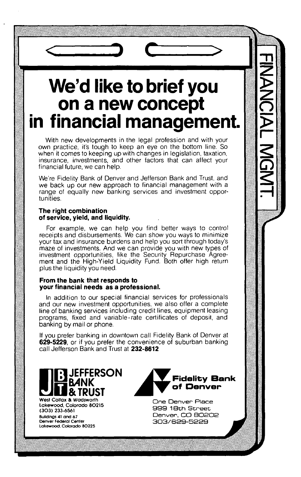# **We'd like to brief you on a new concept in financial management. <sup>&</sup>gt;**

With new developments in the legal profession and with your own practice, it's tough to keep an eye on the bottom line. **So** when it comes to keeping up with changes in legislation, taxation, insurance, investments, and other factors that can affect your financial future, we can help.

We're Fidelity Bank of Denver and Jefferson Bank and Trust, and we back up our new approach to financial management with a range of equally new banking services and investment opportunities.

#### **The right combination of service, yield, and liquidity.**

For example, we can help you find better ways to control receipts and disbursements. We can show you ways to minimize your tax and insurance burdens and help you sort through today's maze of investments. And we can provide you with new types of investment opportunities, like the Security Repurchase Agreement and the High-Yield Liquidity Fund. Both offer high return plus the liquidity you need.

#### **From the bank that responds to your financial needs as a professional.**

In addition to our special financial services for professionals and our new investment opportunities, we also offer a complete line of banking services including credit lines, equipment leasing programs, fixed and variable-rate certificates of deposit, and banking **by** mail or phone.

**If** you prefer banking in downtown call Fidelity Bank of Denver at **629-5229,** or if you prefer the convenience of suburban banking call Jefferson Bank and Trust at **232-8612**



**West Colfax & Wadsworth One Denver Place Lakewood Colorado 80215 999 18th Street** (3O3) 233-6561 **Denver Federal Center 303/829-5229 Lakewood. Colorado 80225**



**Buildings 41** and **67 Denver, CO 80202**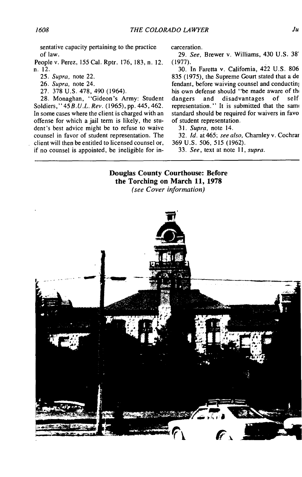sentative capacity pertaining to the practice of law.

People v. Perez, **155** Cal. Rptr. **176, 183,** n. 12. n. 12.

*25.* Supra, note 22.

*26. Supra,* note 24.

**27. 378 U.S. 478,** 490 (1964).

**28.** Monaghan, "Gideon's Army: Student Soldiers, **"** *45 B.U.L. Rev.* **(1965), pp.** <sup>4</sup> <sup>4</sup> <sup>5</sup> , 4 <sup>62</sup> . In some cases where the client is charged with an offense for which a jail term is likely, the student's best advice might be to refuse to waive counsel in favor of student representation. The client will then be entitled to licensed counsel or, if no counsel is appointed, be ineligible for in-

carceration.

*29. See,* Brewer v. Williams, 430 **U.S. 38' (1977).**

**30.** In Faretta v. California, 422 **U.S. 806 835** *(1975),* the Supreme Gourt stated that a de fendant, before waiving counsel and conductinj his own defense should "be made aware of the dangers and disadvantages of selfdangers and disadvantages of self representation." It is submitted that the same standard should be required for waivers in favo of student representation.

*31. Supra,* note 14.

**32.** *Id.* at 465; *see also,* Charnley v. Cochrar **369 U.S. 506, 515 (1962).**

*33.* See, text at note *11, supra.*

#### **Douglas County Courthouse: Before the Torching on March 11, 1978**

(see *Cover information)*